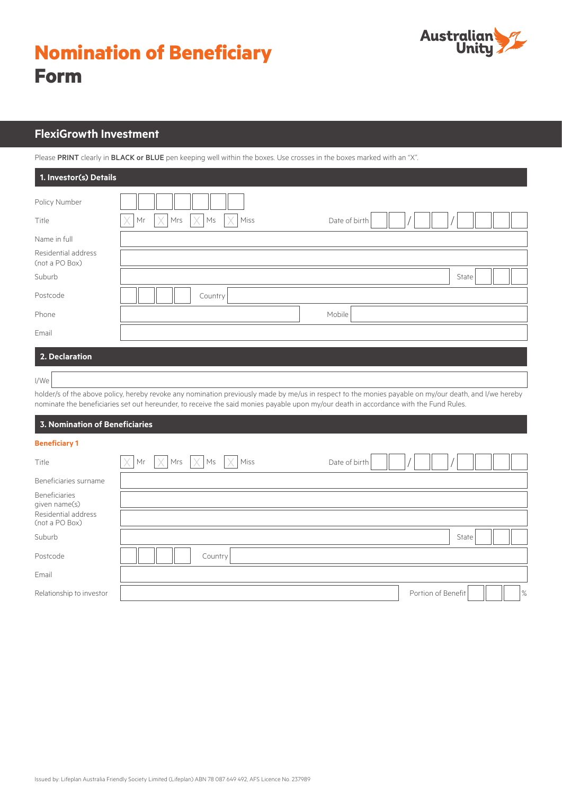# **Nomination of Beneficiary Form**



## **FlexiGrowth Investment**

Please PRINT clearly in BLACK or BLUE pen keeping well within the boxes. Use crosses in the boxes marked with an "X".

| 1. Investor(s) Details                |                                                           |
|---------------------------------------|-----------------------------------------------------------|
| Policy Number                         |                                                           |
| Title                                 | $\times$<br>X<br>Mrs<br>Date of birth<br>Miss<br>Mr<br>Ms |
| Name in full                          |                                                           |
| Residential address<br>(not a PO Box) |                                                           |
| Suburb                                | State                                                     |
| Postcode                              | Country                                                   |
| Phone                                 | Mobile                                                    |
| Email                                 |                                                           |
| 2. Declaration                        |                                                           |
| I/We                                  |                                                           |

holder/s of the above policy, hereby revoke any nomination previously made by me/us in respect to the monies payable on my/our death, and I/we hereby nominate the beneficiaries set out hereunder, to receive the said monies payable upon my/our death in accordance with the Fund Rules.

#### **3. Nomination of Beneficiaries**

|  | $\sim$ |  |  |
|--|--------|--|--|

| Title                                 | $\times$ |         | $\vert$ Mr $\vert \times \vert$ Mrs $\vert \times \vert$ Ms $\vert \times \vert$ Miss | Date of birth |  |                    |       |               |
|---------------------------------------|----------|---------|---------------------------------------------------------------------------------------|---------------|--|--------------------|-------|---------------|
| Beneficiaries surname                 |          |         |                                                                                       |               |  |                    |       |               |
| Beneficiaries<br>given name(s)        |          |         |                                                                                       |               |  |                    |       |               |
| Residential address<br>(not a PO Box) |          |         |                                                                                       |               |  |                    |       |               |
| Suburb                                |          |         |                                                                                       |               |  |                    | State |               |
| Postcode                              |          | Country |                                                                                       |               |  |                    |       |               |
| Email                                 |          |         |                                                                                       |               |  |                    |       |               |
| Relationship to investor              |          |         |                                                                                       |               |  | Portion of Benefit |       | $\frac{9}{6}$ |